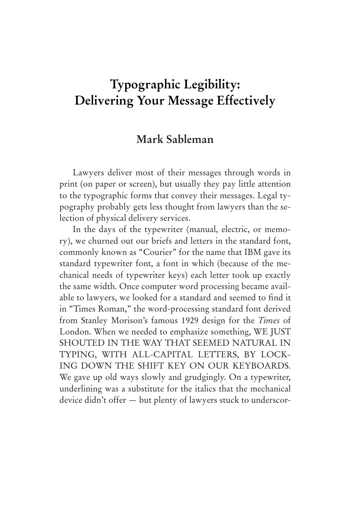# **Typographic Legibility: Delivering Your Message Effectively**

# **Mark Sableman**

Lawyers deliver most of their messages through words in print (on paper or screen), but usually they pay little attention to the typographic forms that convey their messages. Legal typography probably gets less thought from lawyers than the selection of physical delivery services.

In the days of the typewriter (manual, electric, or memory), we churned out our briefs and letters in the standard font, commonly known as "Courier" for the name that IBM gave its standard typewriter font, a font in which (because of the mechanical needs of typewriter keys) each letter took up exactly the same width. Once computer word processing became available to lawyers, we looked for a standard and seemed to find it in "Times Roman," the word-processing standard font derived from Stanley Morison's famous 1929 design for the *Times* of London. When we needed to emphasize something, WE JUST SHOUTED IN THE WAY THAT SEEMED NATURAL IN TYPING, WITH ALL-CAPITAL LETTERS, BY LOCK-ING DOWN THE SHIFT KEY ON OUR KEYBOARDS. We gave up old ways slowly and grudgingly. On a typewriter, underlining was a substitute for the italics that the mechanical device didn't offer — but plenty of lawyers stuck to underscor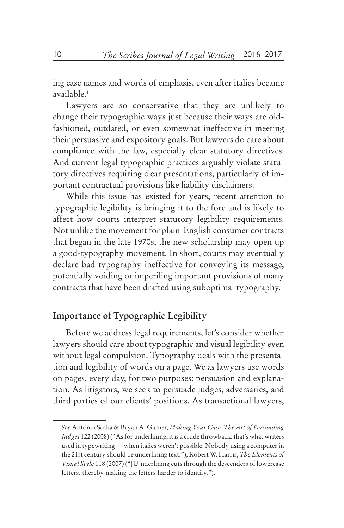ing case names and words of emphasis, even after italics became available.1

Lawyers are so conservative that they are unlikely to change their typographic ways just because their ways are oldfashioned, outdated, or even somewhat ineffective in meeting their persuasive and expository goals. But lawyers do care about compliance with the law, especially clear statutory directives. And current legal typographic practices arguably violate statutory directives requiring clear presentations, particularly of important contractual provisions like liability disclaimers.

While this issue has existed for years, recent attention to typographic legibility is bringing it to the fore and is likely to affect how courts interpret statutory legibility requirements. Not unlike the movement for plain-English consumer contracts that began in the late 1970s, the new scholarship may open up a good-typography movement. In short, courts may eventually declare bad typography ineffective for conveying its message, potentially voiding or imperiling important provisions of many contracts that have been drafted using suboptimal typography.

## **Importance of Typographic Legibility**

Before we address legal requirements, let's consider whether lawyers should care about typographic and visual legibility even without legal compulsion. Typography deals with the presentation and legibility of words on a page. We as lawyers use words on pages, every day, for two purposes: persuasion and explanation. As litigators, we seek to persuade judges, adversaries, and third parties of our clients' positions. As transactional lawyers,

<sup>1</sup> *See* Antonin Scalia & Bryan A. Garner, *Making Your Case: The Art of Persuading Judges* 122 (2008) ("As for underlining, it is a crude throwback: that's what writers used in typewriting — when italics weren't possible. Nobody using a computer in the 21st century should be underlining text."); Robert W. Harris, *The Elements of Visual Style* 118 (2007) ("[U]nderlining cuts through the descenders of lowercase letters, thereby making the letters harder to identify.").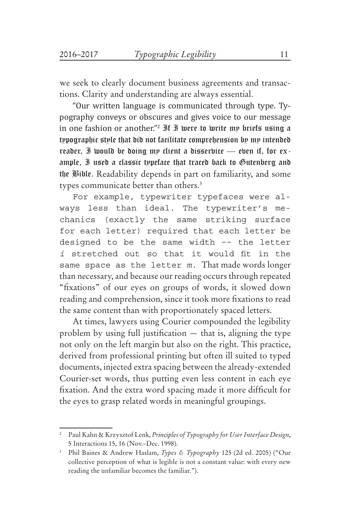we seek to clearly document business agreements and transactions. Clarity and understanding are always essential.

"Our written language is communicated through type. Typography conveys or obscures and gives voice to our message in one fashion or another."<sup>2</sup> If I were to write my briefs using a typographic style that did not facilitate comprehension by my intended reader, I would be doing my client a disservice — even if, for example, I used a classic typeface that traced back to Gutenberg and the Bible. Readability depends in part on familiarity, and some types communicate better than others.<sup>3</sup>

For example, typewriter typefaces were always less than ideal. The typewriter's mechanics (exactly the same striking surface for each letter) required that each letter be designed to be the same width -- the letter *i* stretched out so that it would fit in the same space as the letter *m*. That made words longer than necessary, and because our reading occurs through repeated "fixations" of our eyes on groups of words, it slowed down reading and comprehension, since it took more fixations to read the same content than with proportionately spaced letters.

At times, lawyers using Courier compounded the legibility problem by using full justification — that is, aligning the type not only on the left margin but also on the right. This practice, derived from professional printing but often ill suited to typed documents, injected extra spacing between the already-extended Courier-set words, thus putting even less content in each eye fixation. And the extra word spacing made it more difficult for the eyes to grasp related words in meaningful groupings.

<sup>2</sup> Paul Kahn & Krzysztof Lenk, *Principles of Typography for User Interface Design*, 5 Interactions 15, 16 (Nov.–Dec. 1998).

<sup>3</sup> Phil Baines & Andrew Haslam, *Types & Typography* 125 (2d ed. 2005) ("Our collective perception of what is legible is not a constant value: with every new reading the unfamiliar becomes the familiar.").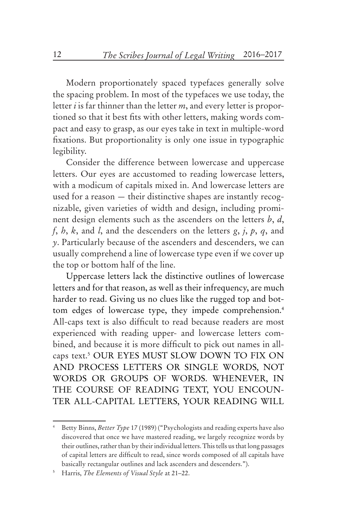Modern proportionately spaced typefaces generally solve the spacing problem. In most of the typefaces we use today, the letter *i* is far thinner than the letter *m*, and every letter is proportioned so that it best fits with other letters, making words compact and easy to grasp, as our eyes take in text in multiple-word fixations. But proportionality is only one issue in typographic legibility.

Consider the difference between lowercase and uppercase letters. Our eyes are accustomed to reading lowercase letters, with a modicum of capitals mixed in. And lowercase letters are used for a reason — their distinctive shapes are instantly recognizable, given varieties of width and design, including prominent design elements such as the ascenders on the letters *b*, *d*, *f*, *h*, *k*, and *l*, and the descenders on the letters *g*, *j*, *p*, *q*, and *y*. Particularly because of the ascenders and descenders, we can usually comprehend a line of lowercase type even if we cover up the top or bottom half of the line.

Uppercase letters lack the distinctive outlines of lowercase letters and for that reason, as well as their infrequency, are much harder to read. Giving us no clues like the rugged top and bottom edges of lowercase type, they impede comprehension.<sup>4</sup> All-caps text is also difficult to read because readers are most experienced with reading upper- and lowercase letters combined, and because it is more difficult to pick out names in allcaps text.5 OUR EYES MUST SLOW DOWN TO FIX ON AND PROCESS LETTERS OR SINGLE WORDS, NOT WORDS OR GROUPS OF WORDS. WHENEVER, IN THE COURSE OF READING TEXT, YOU ENCOUN-TER ALL-CAPITAL LETTERS, YOUR READING WILL

<sup>4</sup> Betty Binns, *Better Type* 17 (1989) ("Psychologists and reading experts have also discovered that once we have mastered reading, we largely recognize words by their outlines, rather than by their individual letters. This tells us that long passages of capital letters are difficult to read, since words composed of all capitals have basically rectangular outlines and lack ascenders and descenders.").

<sup>5</sup> Harris, *The Elements of Visual Style* at 21–22.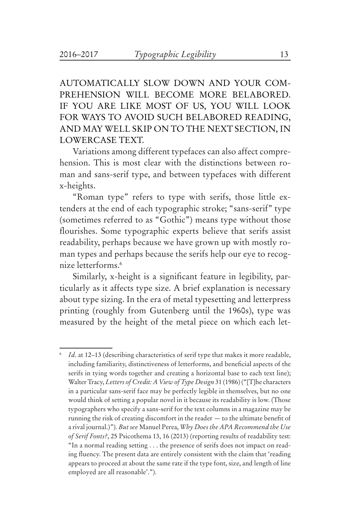AUTOMATICALLY SLOW DOWN AND YOUR COM-PREHENSION WILL BECOME MORE BELABORED. IF YOU ARE LIKE MOST OF US, YOU WILL LOOK FOR WAYS TO AVOID SUCH BELABORED READING, AND MAY WELL SKIP ON TO THE NEXT SECTION, IN LOWERCASE TEXT.

Variations among different typefaces can also affect comprehension. This is most clear with the distinctions between roman and sans-serif type, and between typefaces with different x-heights.

"Roman type" refers to type with serifs, those little extenders at the end of each typographic stroke; "sans-serif" type (sometimes referred to as "Gothic") means type without those flourishes. Some typographic experts believe that serifs assist readability, perhaps because we have grown up with mostly roman types and perhaps because the serifs help our eye to recognize letterforms.6

Similarly, x-height is a significant feature in legibility, particularly as it affects type size. A brief explanation is necessary about type sizing. In the era of metal typesetting and letterpress printing (roughly from Gutenberg until the 1960s), type was measured by the height of the metal piece on which each let-

*Id.* at 12–13 (describing characteristics of serif type that makes it more readable, including familiarity, distinctiveness of letterforms, and beneficial aspects of the serifs in tying words together and creating a horizontal base to each text line); Walter Tracy, *Letters of Credit: A View of Type Design* 31 (1986) ("[T]he characters in a particular sans-serif face may be perfectly legible in themselves, but no one would think of setting a popular novel in it because its readability is low. (Those typographers who specify a sans-serif for the text columns in a magazine may be running the risk of creating discomfort in the reader — to the ultimate benefit of a rival journal.)"). *But see* Manuel Perea, *Why Does the APA Recommend the Use of Serif Fonts?*, 25 Psicothema 13, 16 (2013) (reporting results of readability test: "In a normal reading setting . . . the presence of serifs does not impact on reading fluency. The present data are entirely consistent with the claim that 'reading appears to proceed at about the same rate if the type font, size, and length of line employed are all reasonable'.").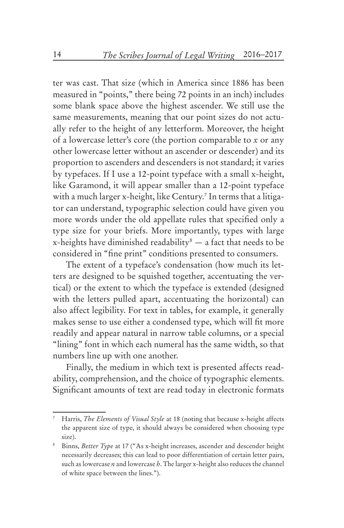ter was cast. That size (which in America since 1886 has been measured in "points," there being 72 points in an inch) includes some blank space above the highest ascender. We still use the same measurements, meaning that our point sizes do not actually refer to the height of any letterform. Moreover, the height of a lowercase letter's core (the portion comparable to *x* or any other lowercase letter without an ascender or descender) and its proportion to ascenders and descenders is not standard; it varies by typefaces. If I use a 12-point typeface with a small x-height, like Garamond, it will appear smaller than a 12-point typeface with a much larger x-height, like Century.7 In terms that a litigator can understand, typographic selection could have given you more words under the old appellate rules that specified only a type size for your briefs. More importantly, types with large x-heights have diminished readability $\delta$  — a fact that needs to be considered in "fine print" conditions presented to consumers.

The extent of a typeface's condensation (how much its letters are designed to be squished together, accentuating the vertical) or the extent to which the typeface is extended (designed with the letters pulled apart, accentuating the horizontal) can also affect legibility. For text in tables, for example, it generally makes sense to use either a condensed type, which will fit more readily and appear natural in narrow table columns, or a special "lining" font in which each numeral has the same width, so that numbers line up with one another.

Finally, the medium in which text is presented affects readability, comprehension, and the choice of typographic elements. Significant amounts of text are read today in electronic formats

Harris, *The Elements of Visual Style* at 18 (noting that because x-height affects the apparent size of type, it should always be considered when choosing type size).

<sup>8</sup> Binns, *Better Type* at 17 ("As x-height increases, ascender and descender height necessarily decreases; this can lead to poor differentiation of certain letter pairs, such as lowercase *n* and lowercase *h*. The larger x-height also reduces the channel of white space between the lines.").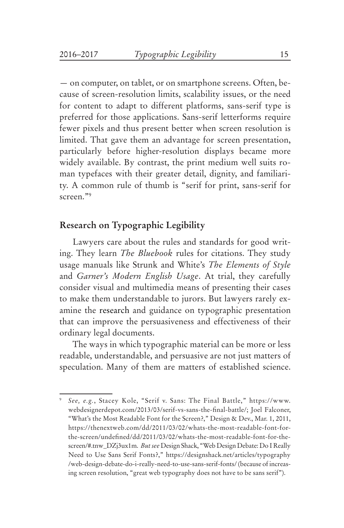— on computer, on tablet, or on smartphone screens. Often, because of screen-resolution limits, scalability issues, or the need for content to adapt to different platforms, sans-serif type is preferred for those applications. Sans-serif letterforms require fewer pixels and thus present better when screen resolution is limited. That gave them an advantage for screen presentation, particularly before higher-resolution displays became more widely available. By contrast, the print medium well suits roman typefaces with their greater detail, dignity, and familiarity. A common rule of thumb is "serif for print, sans-serif for screen."9

#### **Research on Typographic Legibility**

Lawyers care about the rules and standards for good writing. They learn *The Bluebook* rules for citations. They study usage manuals like Strunk and White's *The Elements of Style* and *Garner's Modern English Usage*. At trial, they carefully consider visual and multimedia means of presenting their cases to make them understandable to jurors. But lawyers rarely examine the research and guidance on typographic presentation that can improve the persuasiveness and effectiveness of their ordinary legal documents.

The ways in which typographic material can be more or less readable, understandable, and persuasive are not just matters of speculation. Many of them are matters of established science.

<sup>9</sup> *See, e.g.*, Stacey Kole, "Serif v. Sans: The Final Battle," https://www. webdesignerdepot.com/2013/03/serif-vs-sans-the-final-battle/; Joel Falconer, "What's the Most Readable Font for the Screen?," Design & Dev., Mar. 1, 2011, https://thenextweb.com/dd/2011/03/02/whats-the-most-readable-font-forthe-screen/undefined/dd/2011/03/02/whats-the-most-readable-font-for-thescreen/#.tnw\_DZj3ux1m. *But see* Design Shack, "Web Design Debate: Do I Really Need to Use Sans Serif Fonts?," https://designshack.net/articles/typography /web-design-debate-do-i-really-need-to-use-sans-serif-fonts/ (because of increasing screen resolution, "great web typography does not have to be sans serif").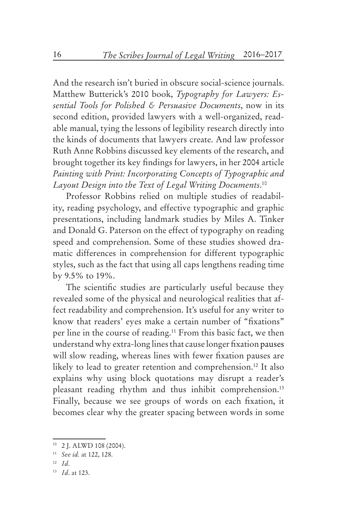And the research isn't buried in obscure social-science journals. Matthew Butterick's 2010 book, *Typography for Lawyers: Essential Tools for Polished & Persuasive Documents*, now in its second edition, provided lawyers with a well-organized, readable manual, tying the lessons of legibility research directly into the kinds of documents that lawyers create. And law professor Ruth Anne Robbins discussed key elements of the research, and brought together its key findings for lawyers, in her 2004 article *Painting with Print: Incorporating Concepts of Typographic and Layout Design into the Text of Legal Writing Documents*. 10

Professor Robbins relied on multiple studies of readability, reading psychology, and effective typographic and graphic presentations, including landmark studies by Miles A. Tinker and Donald G. Paterson on the effect of typography on reading speed and comprehension. Some of these studies showed dramatic differences in comprehension for different typographic styles, such as the fact that using all caps lengthens reading time by 9.5% to 19%.

The scientific studies are particularly useful because they revealed some of the physical and neurological realities that affect readability and comprehension. It's useful for any writer to know that readers' eyes make a certain number of "fixations" per line in the course of reading.11 From this basic fact, we then understand why extra-long lines that cause longer fixation pauses will slow reading, whereas lines with fewer fixation pauses are likely to lead to greater retention and comprehension.<sup>12</sup> It also explains why using block quotations may disrupt a reader's pleasant reading rhythm and thus inhibit comprehension.<sup>13</sup> Finally, because we see groups of words on each fixation, it becomes clear why the greater spacing between words in some

<sup>10</sup> 2 J. ALWD 108 (2004).

<sup>11</sup> *See id.* at 122, 128.

<sup>12</sup> *Id*.

<sup>13</sup> *Id*. at 123.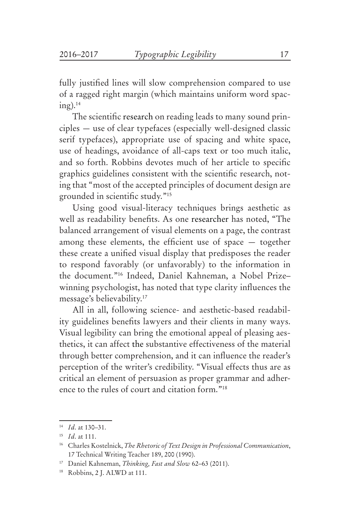fully justified lines will slow comprehension compared to use of a ragged right margin (which maintains uniform word spac $ing).<sup>14</sup>$ 

The scientific research on reading leads to many sound principles — use of clear typefaces (especially well-designed classic serif typefaces), appropriate use of spacing and white space, use of headings, avoidance of all-caps text or too much italic, and so forth. Robbins devotes much of her article to specific graphics guidelines consistent with the scientific research, noting that "most of the accepted principles of document design are grounded in scientific study."15

Using good visual-literacy techniques brings aesthetic as well as readability benefits. As one researcher has noted, "The balanced arrangement of visual elements on a page, the contrast among these elements, the efficient use of space — together these create a unified visual display that predisposes the reader to respond favorably (or unfavorably) to the information in the document."16 Indeed, Daniel Kahneman, a Nobel Prize– winning psychologist, has noted that type clarity influences the message's believability.17

All in all, following science- and aesthetic-based readability guidelines benefits lawyers and their clients in many ways. Visual legibility can bring the emotional appeal of pleasing aesthetics, it can affect the substantive effectiveness of the material through better comprehension, and it can influence the reader's perception of the writer's credibility. "Visual effects thus are as critical an element of persuasion as proper grammar and adherence to the rules of court and citation form."18

<sup>14</sup> *Id*. at 130–31.

<sup>15</sup> *Id*. at 111.

<sup>16</sup> Charles Kostelnick, *The Rhetoric of Text Design in Professional Communication*, 17 Technical Writing Teacher 189, 200 (1990).

<sup>17</sup> Daniel Kahneman, *Thinking, Fast and Slow* 62–63 (2011).

<sup>18</sup> Robbins, 2 J. ALWD at 111.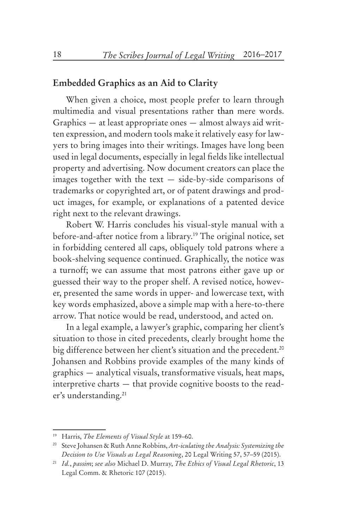#### **Embedded Graphics as an Aid to Clarity**

When given a choice, most people prefer to learn through multimedia and visual presentations rather than mere words. Graphics — at least appropriate ones — almost always aid written expression, and modern tools make it relatively easy for lawyers to bring images into their writings. Images have long been used in legal documents, especially in legal fields like intellectual property and advertising. Now document creators can place the images together with the text — side-by-side comparisons of trademarks or copyrighted art, or of patent drawings and product images, for example, or explanations of a patented device right next to the relevant drawings.

Robert W. Harris concludes his visual-style manual with a before-and-after notice from a library.<sup>19</sup> The original notice, set in forbidding centered all caps, obliquely told patrons where a book-shelving sequence continued. Graphically, the notice was a turnoff; we can assume that most patrons either gave up or guessed their way to the proper shelf. A revised notice, however, presented the same words in upper- and lowercase text, with key words emphasized, above a simple map with a here-to-there arrow. That notice would be read, understood, and acted on.

In a legal example, a lawyer's graphic, comparing her client's situation to those in cited precedents, clearly brought home the big difference between her client's situation and the precedent.<sup>20</sup> Johansen and Robbins provide examples of the many kinds of graphics — analytical visuals, transformative visuals, heat maps, interpretive charts — that provide cognitive boosts to the reader's understanding.<sup>21</sup>

<sup>19</sup> Harris, *The Elements of Visual Style* at 159–60.

<sup>20</sup> Steve Johansen & Ruth Anne Robbins, *Art-iculating the Analysis: Systemizing the Decision to Use Visuals as Legal Reasoning*, 20 Legal Writing 57, 57–59 (2015).

<sup>21</sup> *Id.*, *passim*; *see also* Michael D. Murray, *The Ethics of Visual Legal Rhetoric*, 13 Legal Comm. & Rhetoric 107 (2015).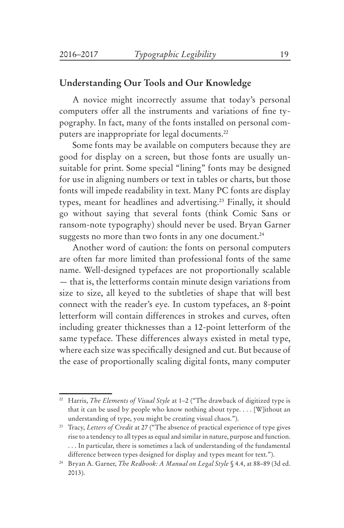### **Understanding Our Tools and Our Knowledge**

A novice might incorrectly assume that today's personal computers offer all the instruments and variations of fine typography. In fact, many of the fonts installed on personal computers are inappropriate for legal documents.<sup>22</sup>

Some fonts may be available on computers because they are good for display on a screen, but those fonts are usually unsuitable for print. Some special "lining" fonts may be designed for use in aligning numbers or text in tables or charts, but those fonts will impede readability in text. Many PC fonts are display types, meant for headlines and advertising.23 Finally, it should go without saying that several fonts (think Comic Sans or ransom-note typography) should never be used. Bryan Garner suggests no more than two fonts in any one document.<sup>24</sup>

Another word of caution: the fonts on personal computers are often far more limited than professional fonts of the same name. Well-designed typefaces are not proportionally scalable — that is, the letterforms contain minute design variations from size to size, all keyed to the subtleties of shape that will best connect with the reader's eye. In custom typefaces, an 8-point letterform will contain differences in strokes and curves, often including greater thicknesses than a 12-point letterform of the same typeface. These differences always existed in metal type, where each size was specifically designed and cut. But because of the ease of proportionally scaling digital fonts, many computer

<sup>&</sup>lt;sup>22</sup> Harris, *The Elements of Visual Style* at 1–2 ("The drawback of digitized type is that it can be used by people who know nothing about type. . . . [W]ithout an understanding of type, you might be creating visual chaos.").

<sup>&</sup>lt;sup>23</sup> Tracy, *Letters of Credit* at 27 ("The absence of practical experience of type gives rise to a tendency to all types as equal and similar in nature, purpose and function. . . . In particular, there is sometimes a lack of understanding of the fundamental difference between types designed for display and types meant for text.").

<sup>24</sup> Bryan A. Garner, *The Redbook: A Manual on Legal Style* § 4.4, at 88–89 (3d ed. 2013).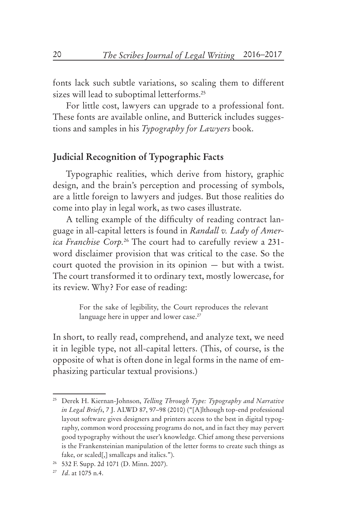fonts lack such subtle variations, so scaling them to different sizes will lead to suboptimal letterforms.<sup>25</sup>

For little cost, lawyers can upgrade to a professional font. These fonts are available online, and Butterick includes suggestions and samples in his *Typography for Lawyers* book.

### **Judicial Recognition of Typographic Facts**

Typographic realities, which derive from history, graphic design, and the brain's perception and processing of symbols, are a little foreign to lawyers and judges. But those realities do come into play in legal work, as two cases illustrate.

A telling example of the difficulty of reading contract language in all-capital letters is found in *Randall v. Lady of America Franchise Corp.*26 The court had to carefully review a 231 word disclaimer provision that was critical to the case. So the court quoted the provision in its opinion — but with a twist. The court transformed it to ordinary text, mostly lowercase, for its review. Why? For ease of reading:

> For the sake of legibility, the Court reproduces the relevant language here in upper and lower case.<sup>27</sup>

In short, to really read, comprehend, and analyze text, we need it in legible type, not all-capital letters. (This, of course, is the opposite of what is often done in legal forms in the name of emphasizing particular textual provisions.)

<sup>25</sup> Derek H. Kiernan-Johnson, *Telling Through Type: Typography and Narrative in Legal Briefs*, 7 J. ALWD 87, 97–98 (2010) ("[A]lthough top-end professional layout software gives designers and printers access to the best in digital typography, common word processing programs do not, and in fact they may pervert good typography without the user's knowledge. Chief among these perversions is the Frankensteinian manipulation of the letter forms to create such things as fake, or scaled[,] smallcaps and italics.").

<sup>26</sup> 532 F. Supp. 2d 1071 (D. Minn. 2007).

<sup>27</sup> *Id*. at 1075 n.4.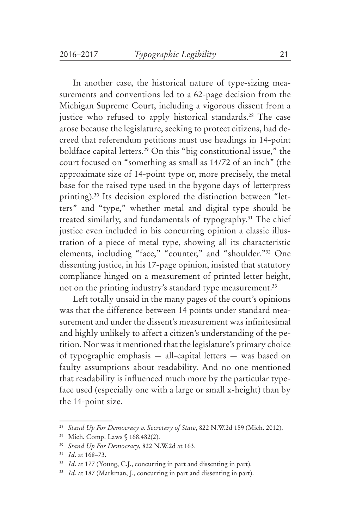In another case, the historical nature of type-sizing measurements and conventions led to a 62-page decision from the Michigan Supreme Court, including a vigorous dissent from a justice who refused to apply historical standards.<sup>28</sup> The case arose because the legislature, seeking to protect citizens, had decreed that referendum petitions must use headings in 14-point boldface capital letters.<sup>29</sup> On this "big constitutional issue," the court focused on "something as small as 14/72 of an inch" (the approximate size of 14-point type or, more precisely, the metal base for the raised type used in the bygone days of letterpress printing).30 Its decision explored the distinction between "letters" and "type," whether metal and digital type should be treated similarly, and fundamentals of typography.<sup>31</sup> The chief justice even included in his concurring opinion a classic illustration of a piece of metal type, showing all its characteristic elements, including "face," "counter," and "shoulder."32 One dissenting justice, in his 17-page opinion, insisted that statutory compliance hinged on a measurement of printed letter height, not on the printing industry's standard type measurement.<sup>33</sup>

Left totally unsaid in the many pages of the court's opinions was that the difference between 14 points under standard measurement and under the dissent's measurement was infinitesimal and highly unlikely to affect a citizen's understanding of the petition. Nor was it mentioned that the legislature's primary choice of typographic emphasis — all-capital letters — was based on faulty assumptions about readability. And no one mentioned that readability is influenced much more by the particular typeface used (especially one with a large or small x-height) than by the 14-point size.

<sup>28</sup> *Stand Up For Democracy v. Secretary of State*, 822 N.W.2d 159 (Mich. 2012).

<sup>29</sup> Mich. Comp. Laws § 168.482(2).

<sup>30</sup> *Stand Up For Democracy*, 822 N.W.2d at 163.

<sup>31</sup> *Id*. at 168–73.

<sup>&</sup>lt;sup>32</sup> *Id.* at 177 (Young, C.J., concurring in part and dissenting in part).

<sup>&</sup>lt;sup>33</sup> *Id.* at 187 (Markman, J., concurring in part and dissenting in part).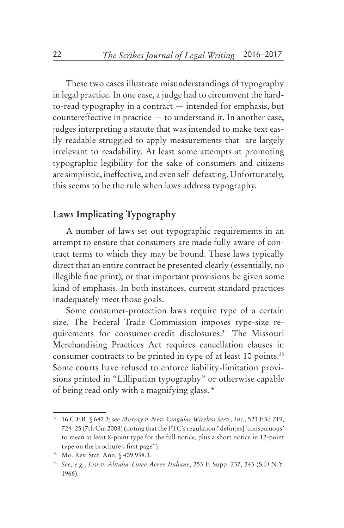These two cases illustrate misunderstandings of typography in legal practice. In one case, a judge had to circumvent the hardto-read typography in a contract — intended for emphasis, but countereffective in practice — to understand it. In another case, judges interpreting a statute that was intended to make text easily readable struggled to apply measurements that are largely irrelevant to readability. At least some attempts at promoting typographic legibility for the sake of consumers and citizens are simplistic, ineffective, and even self-defeating. Unfortunately, this seems to be the rule when laws address typography.

### **Laws Implicating Typography**

A number of laws set out typographic requirements in an attempt to ensure that consumers are made fully aware of contract terms to which they may be bound. These laws typically direct that an entire contract be presented clearly (essentially, no illegible fine print), or that important provisions be given some kind of emphasis. In both instances, current standard practices inadequately meet those goals.

Some consumer-protection laws require type of a certain size. The Federal Trade Commission imposes type-size requirements for consumer-credit disclosures.<sup>34</sup> The Missouri Merchandising Practices Act requires cancellation clauses in consumer contracts to be printed in type of at least 10 points.<sup>35</sup> Some courts have refused to enforce liability-limitation provisions printed in "Lilliputian typography" or otherwise capable of being read only with a magnifying glass.<sup>36</sup>

<sup>34</sup> 16 C.F.R. § 642.3; *see Murray v. New Cingular Wireless Serv., Inc.*, 523 F.3d 719, 724–25 (7th Cir. 2008) (noting that the FTC's regulation "defin[es] 'conspicuous' to mean at least 8-point type for the full notice, plus a short notice in 12-point type on the brochure's first page").

<sup>35</sup> Mo. Rev. Stat. Ann. § 409.938.3.

<sup>36</sup> *See, e.g.*, *Lisi v. Alitalia-Linee Aeree Italiane*, 253 F. Supp. 237, 243 (S.D.N.Y. 1966).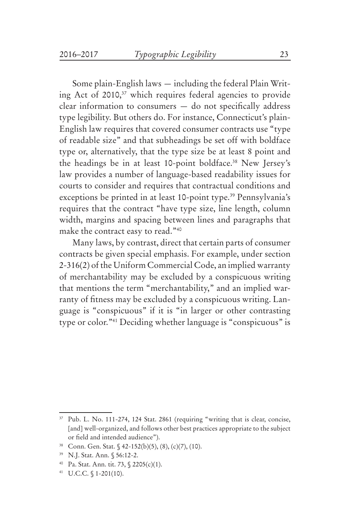Some plain-English laws — including the federal Plain Writing Act of 2010,<sup>37</sup> which requires federal agencies to provide clear information to consumers — do not specifically address type legibility. But others do. For instance, Connecticut's plain-English law requires that covered consumer contracts use "type of readable size" and that subheadings be set off with boldface type or, alternatively, that the type size be at least 8 point and the headings be in at least 10-point boldface.<sup>38</sup> New Jersey's law provides a number of language-based readability issues for courts to consider and requires that contractual conditions and exceptions be printed in at least 10-point type.<sup>39</sup> Pennsylvania's requires that the contract "have type size, line length, column width, margins and spacing between lines and paragraphs that make the contract easy to read."40

Many laws, by contrast, direct that certain parts of consumer contracts be given special emphasis. For example, under section 2-316(2) of the Uniform Commercial Code, an implied warranty of merchantability may be excluded by a conspicuous writing that mentions the term "merchantability," and an implied warranty of fitness may be excluded by a conspicuous writing. Language is "conspicuous" if it is "in larger or other contrasting type or color."41 Deciding whether language is "conspicuous" is

<sup>&</sup>lt;sup>37</sup> Pub. L. No. 111-274, 124 Stat. 2861 (requiring "writing that is clear, concise, [and] well-organized, and follows other best practices appropriate to the subject or field and intended audience").

<sup>38</sup> Conn. Gen. Stat. § 42-152(b)(5), (8), (c)(7), (10).

<sup>39</sup> N.J. Stat. Ann. § 56:12-2.

<sup>40</sup> Pa. Stat. Ann. tit. 73, § 2205(c)(1).

<sup>41</sup> U.C.C. § 1-201(10).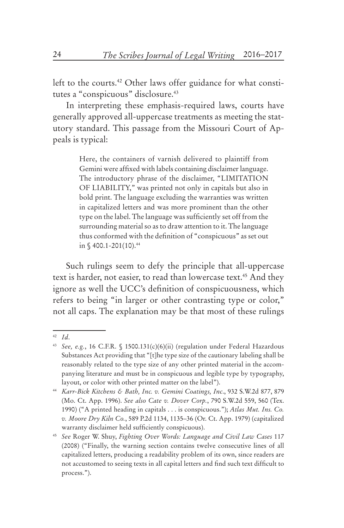left to the courts.<sup>42</sup> Other laws offer guidance for what constitutes a "conspicuous" disclosure.<sup>43</sup>

In interpreting these emphasis-required laws, courts have generally approved all-uppercase treatments as meeting the statutory standard. This passage from the Missouri Court of Appeals is typical:

> Here, the containers of varnish delivered to plaintiff from Gemini were affixed with labels containing disclaimer language. The introductory phrase of the disclaimer, "LIMITATION OF LIABILITY," was printed not only in capitals but also in bold print. The language excluding the warranties was written in capitalized letters and was more prominent than the other type on the label. The language was sufficiently set off from the surrounding material so as to draw attention to it. The language thus conformed with the definition of "conspicuous" as set out in  $$400.1 - 201(10).44$

Such rulings seem to defy the principle that all-uppercase text is harder, not easier, to read than lowercase text.<sup>45</sup> And they ignore as well the UCC's definition of conspicuousness, which refers to being "in larger or other contrasting type or color," not all caps. The explanation may be that most of these rulings

<sup>42</sup> *Id*.

<sup>43</sup> *See, e.g.*, 16 C.F.R. § 1500.131(c)(6)(ii) (regulation under Federal Hazardous Substances Act providing that "[t]he type size of the cautionary labeling shall be reasonably related to the type size of any other printed material in the accompanying literature and must be in conspicuous and legible type by typography, layout, or color with other printed matter on the label").

<sup>44</sup> *Karr-Bick Kitchens & Bath, Inc. v. Gemini Coatings, Inc*., 932 S.W.2d 877, 879 (Mo. Ct. App. 1996). *See also Cate v. Dover Corp.*, 790 S.W.2d 559, 560 (Tex. 1990) ("A printed heading in capitals . . . is conspicuous."); *Atlas Mut. Ins. Co. v. Moore Dry Kiln Co.*, 589 P.2d 1134, 1135–36 (Or. Ct. App. 1979) (capitalized warranty disclaimer held sufficiently conspicuous).

<sup>45</sup> *See* Roger W. Shuy, *Fighting Over Words: Language and Civil Law Cases* 117 (2008) ("Finally, the warning section contains twelve consecutive lines of all capitalized letters, producing a readability problem of its own, since readers are not accustomed to seeing texts in all capital letters and find such text difficult to process.").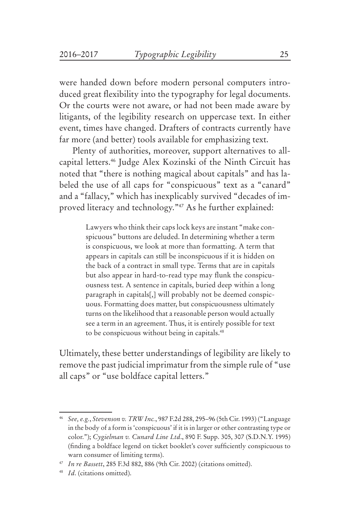were handed down before modern personal computers introduced great flexibility into the typography for legal documents. Or the courts were not aware, or had not been made aware by litigants, of the legibility research on uppercase text. In either event, times have changed. Drafters of contracts currently have far more (and better) tools available for emphasizing text.

Plenty of authorities, moreover, support alternatives to allcapital letters.46 Judge Alex Kozinski of the Ninth Circuit has noted that "there is nothing magical about capitals" and has labeled the use of all caps for "conspicuous" text as a "canard" and a "fallacy," which has inexplicably survived "decades of improved literacy and technology."47 As he further explained:

> Lawyers who think their caps lock keys are instant "make conspicuous" buttons are deluded. In determining whether a term is conspicuous, we look at more than formatting. A term that appears in capitals can still be inconspicuous if it is hidden on the back of a contract in small type. Terms that are in capitals but also appear in hard-to-read type may flunk the conspicuousness test. A sentence in capitals, buried deep within a long paragraph in capitals[,] will probably not be deemed conspicuous. Formatting does matter, but conspicuousness ultimately turns on the likelihood that a reasonable person would actually see a term in an agreement. Thus, it is entirely possible for text to be conspicuous without being in capitals.<sup>48</sup>

Ultimately, these better understandings of legibility are likely to remove the past judicial imprimatur from the simple rule of "use all caps" or "use boldface capital letters."

<sup>46</sup> *See, e.g.*, *Stevenson v. TRW Inc.*, 987 F.2d 288, 295–96 (5th Cir. 1993) ("Language in the body of a form is 'conspicuous' if it is in larger or other contrasting type or color."); *Cygielman v. Cunard Line Ltd*., 890 F. Supp. 305, 307 (S.D.N.Y. 1995) (finding a boldface legend on ticket booklet's cover sufficiently conspicuous to warn consumer of limiting terms).

<sup>47</sup> *In re Bassett*, 285 F.3d 882, 886 (9th Cir. 2002) (citations omitted).

<sup>48</sup> *Id*. (citations omitted).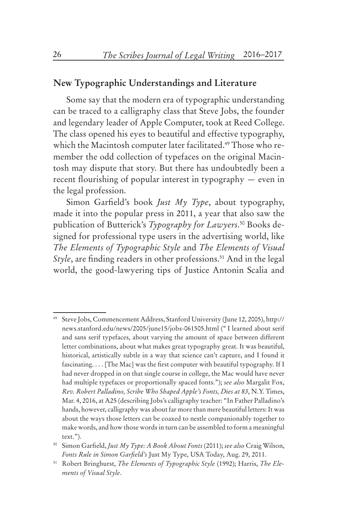### **New Typographic Understandings and Literature**

Some say that the modern era of typographic understanding can be traced to a calligraphy class that Steve Jobs, the founder and legendary leader of Apple Computer, took at Reed College. The class opened his eyes to beautiful and effective typography, which the Macintosh computer later facilitated.<sup>49</sup> Those who remember the odd collection of typefaces on the original Macintosh may dispute that story. But there has undoubtedly been a recent flourishing of popular interest in typography — even in the legal profession.

Simon Garfield's book *Just My Type*, about typography, made it into the popular press in 2011, a year that also saw the publication of Butterick's *Typography for Lawyers*. 50 Books designed for professional type users in the advertising world, like *The Elements of Typographic Style* and *The Elements of Visual Style*, are finding readers in other professions.<sup>51</sup> And in the legal world, the good-lawyering tips of Justice Antonin Scalia and

<sup>49</sup> Steve Jobs, Commencement Address, Stanford University (June 12, 2005), http:// news.stanford.edu/news/2005/june15/jobs-061505.html (" I learned about serif and sans serif typefaces, about varying the amount of space between different letter combinations, about what makes great typography great. It was beautiful, historical, artistically subtle in a way that science can't capture, and I found it fascinating. . . . [The Mac] was the first computer with beautiful typography. If I had never dropped in on that single course in college, the Mac would have never had multiple typefaces or proportionally spaced fonts."); *see also* Margalit Fox, *Rev. Robert Palladino, Scribe Who Shaped Apple's Fonts, Dies at 83*, N.Y. Times, Mar. 4, 2016, at A25 (describing Jobs's calligraphy teacher: "In Father Palladino's hands, however, calligraphy was about far more than mere beautiful letters: It was about the ways those letters can be coaxed to nestle companionably together to make words, and how those words in turn can be assembled to form a meaningful text.").

<sup>50</sup> Simon Garfield, *Just My Type: A Book About Fonts* (2011); *see also* Craig Wilson, *Fonts Rule in Simon Garfield's* Just My Type, USA Today, Aug. 29, 2011.

<sup>51</sup> Robert Bringhurst, *The Elements of Typographic Style* (1992); Harris, *The Elements of Visual Style*.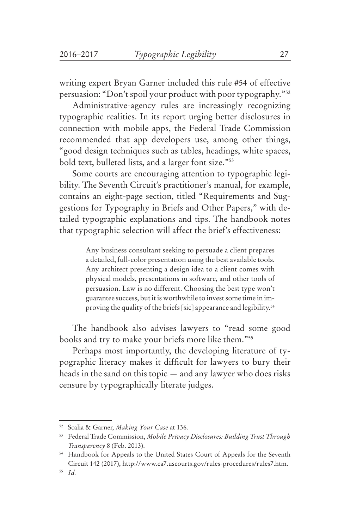writing expert Bryan Garner included this rule #54 of effective persuasion: "Don't spoil your product with poor typography."52

Administrative-agency rules are increasingly recognizing typographic realities. In its report urging better disclosures in connection with mobile apps, the Federal Trade Commission recommended that app developers use, among other things, "good design techniques such as tables, headings, white spaces, bold text, bulleted lists, and a larger font size."53

Some courts are encouraging attention to typographic legibility. The Seventh Circuit's practitioner's manual, for example, contains an eight-page section, titled "Requirements and Suggestions for Typography in Briefs and Other Papers," with detailed typographic explanations and tips. The handbook notes that typographic selection will affect the brief's effectiveness:

> Any business consultant seeking to persuade a client prepares a detailed, full-color presentation using the best available tools. Any architect presenting a design idea to a client comes with physical models, presentations in software, and other tools of persuasion. Law is no different. Choosing the best type won't guarantee success, but it is worthwhile to invest some time in improving the quality of the briefs [sic] appearance and legibility.<sup>54</sup>

The handbook also advises lawyers to "read some good books and try to make your briefs more like them."55

Perhaps most importantly, the developing literature of typographic literacy makes it difficult for lawyers to bury their heads in the sand on this topic — and any lawyer who does risks censure by typographically literate judges.

<sup>52</sup> Scalia & Garner, *Making Your Case* at 136.

<sup>53</sup> Federal Trade Commission, *Mobile Privacy Disclosures: Building Trust Through Transparency* 8 (Feb. 2013).

<sup>&</sup>lt;sup>54</sup> Handbook for Appeals to the United States Court of Appeals for the Seventh Circuit 142 (2017), http://www.ca7.uscourts.gov/rules-procedures/rules7.htm.

<sup>55</sup> *Id.*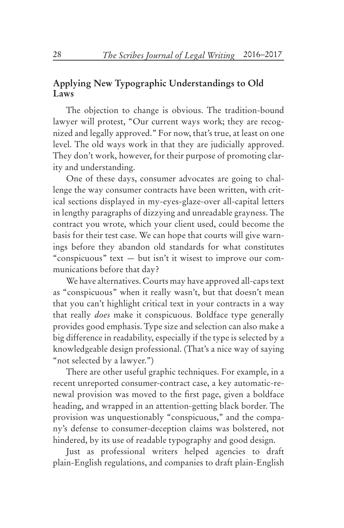#### **Applying New Typographic Understandings to Old Laws**

The objection to change is obvious. The tradition-bound lawyer will protest, "Our current ways work; they are recognized and legally approved." For now, that's true, at least on one level. The old ways work in that they are judicially approved. They don't work, however, for their purpose of promoting clarity and understanding.

One of these days, consumer advocates are going to challenge the way consumer contracts have been written, with critical sections displayed in my-eyes-glaze-over all-capital letters in lengthy paragraphs of dizzying and unreadable grayness. The contract you wrote, which your client used, could become the basis for their test case. We can hope that courts will give warnings before they abandon old standards for what constitutes "conspicuous" text — but isn't it wisest to improve our communications before that day?

We have alternatives. Courts may have approved all-caps text as "conspicuous" when it really wasn't, but that doesn't mean that you can't highlight critical text in your contracts in a way that really *does* make it conspicuous. Boldface type generally provides good emphasis. Type size and selection can also make a big difference in readability, especially if the type is selected by a knowledgeable design professional. (That's a nice way of saying "not selected by a lawyer.")

There are other useful graphic techniques. For example, in a recent unreported consumer-contract case, a key automatic-renewal provision was moved to the first page, given a boldface heading, and wrapped in an attention-getting black border. The provision was unquestionably "conspicuous," and the company's defense to consumer-deception claims was bolstered, not hindered, by its use of readable typography and good design.

Just as professional writers helped agencies to draft plain-English regulations, and companies to draft plain-English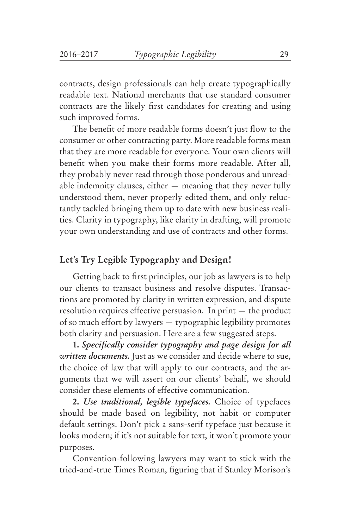contracts, design professionals can help create typographically readable text. National merchants that use standard consumer contracts are the likely first candidates for creating and using such improved forms.

The benefit of more readable forms doesn't just flow to the consumer or other contracting party. More readable forms mean that they are more readable for everyone. Your own clients will benefit when you make their forms more readable. After all, they probably never read through those ponderous and unreadable indemnity clauses, either — meaning that they never fully understood them, never properly edited them, and only reluctantly tackled bringing them up to date with new business realities. Clarity in typography, like clarity in drafting, will promote your own understanding and use of contracts and other forms.

#### **Let's Try Legible Typography and Design!**

Getting back to first principles, our job as lawyers is to help our clients to transact business and resolve disputes. Transactions are promoted by clarity in written expression, and dispute resolution requires effective persuasion. In print — the product of so much effort by lawyers — typographic legibility promotes both clarity and persuasion. Here are a few suggested steps.

**1.** *Specifically consider typography and page design for all written documents.* Just as we consider and decide where to sue, the choice of law that will apply to our contracts, and the arguments that we will assert on our clients' behalf, we should consider these elements of effective communication.

**2.** *Use traditional, legible typefaces.* Choice of typefaces should be made based on legibility, not habit or computer default settings. Don't pick a sans-serif typeface just because it looks modern; if it's not suitable for text, it won't promote your purposes.

Convention-following lawyers may want to stick with the tried-and-true Times Roman, figuring that if Stanley Morison's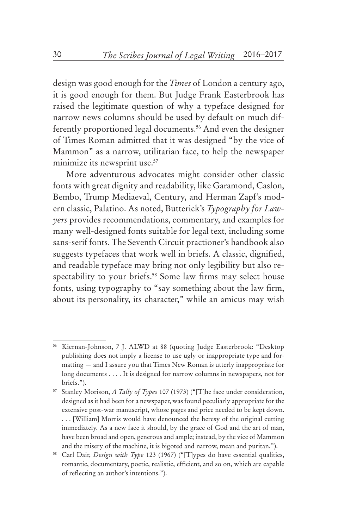design was good enough for the *Times* of London a century ago, it is good enough for them. But Judge Frank Easterbrook has raised the legitimate question of why a typeface designed for narrow news columns should be used by default on much differently proportioned legal documents.<sup>56</sup> And even the designer of Times Roman admitted that it was designed "by the vice of Mammon" as a narrow, utilitarian face, to help the newspaper minimize its newsprint use.<sup>57</sup>

More adventurous advocates might consider other classic fonts with great dignity and readability, like Garamond, Caslon, Bembo, Trump Mediaeval, Century, and Herman Zapf's modern classic, Palatino. As noted, Butterick's *Typography for Lawyers* provides recommendations, commentary, and examples for many well-designed fonts suitable for legal text, including some sans-serif fonts. The Seventh Circuit practioner's handbook also suggests typefaces that work well in briefs. A classic, dignified, and readable typeface may bring not only legibility but also respectability to your briefs.<sup>58</sup> Some law firms may select house fonts, using typography to "say something about the law firm, about its personality, its character," while an amicus may wish

<sup>56</sup> Kiernan-Johnson, 7 J. ALWD at 88 (quoting Judge Easterbrook: "Desktop publishing does not imply a license to use ugly or inappropriate type and formatting — and I assure you that Times New Roman is utterly inappropriate for long documents . . . . It is designed for narrow columns in newspapers, not for briefs.").

<sup>57</sup> Stanley Morison, *A Tally of Types* 107 (1973) ("[T]he face under consideration, designed as it had been for a newspaper, was found peculiarly appropriate for the extensive post-war manuscript, whose pages and price needed to be kept down. . . . [William] Morris would have denounced the heresy of the original cutting immediately. As a new face it should, by the grace of God and the art of man, have been broad and open, generous and ample; instead, by the vice of Mammon and the misery of the machine, it is bigoted and narrow, mean and puritan.").

<sup>58</sup> Carl Dair, *Design with Type* 123 (1967) ("[T]ypes do have essential qualities, romantic, documentary, poetic, realistic, efficient, and so on, which are capable of reflecting an author's intentions.").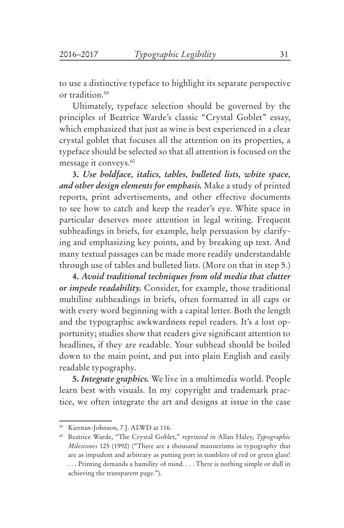to use a distinctive typeface to highlight its separate perspective or tradition.59

Ultimately, typeface selection should be governed by the principles of Beatrice Warde's classic "Crystal Goblet" essay, which emphasized that just as wine is best experienced in a clear crystal goblet that focuses all the attention on its properties, a typeface should be selected so that all attention is focused on the message it conveys.<sup>60</sup>

**3.** *Use boldface, italics, tables, bulleted lists, white space, and other design elements for emphasis.* Make a study of printed reports, print advertisements, and other effective documents to see how to catch and keep the reader's eye. White space in particular deserves more attention in legal writing. Frequent subheadings in briefs, for example, help persuasion by clarifying and emphasizing key points, and by breaking up text. And many textual passages can be made more readily understandable through use of tables and bulleted lists. (More on that in step 5.)

**4.** *Avoid traditional techniques from old media that clutter or impede readability.* Consider, for example, those traditional multiline subheadings in briefs, often formatted in all caps or with every word beginning with a capital letter. Both the length and the typographic awkwardness repel readers. It's a lost opportunity; studies show that readers give significant attention to headlines, if they are readable. Your subhead should be boiled down to the main point, and put into plain English and easily readable typography.

**5.** *Integrate graphics.* We live in a multimedia world. People learn best with visuals. In my copyright and trademark practice, we often integrate the art and designs at issue in the case

<sup>59</sup> Kiernan-Johnson, 7 J. ALWD at 116.

<sup>60</sup> Beatrice Warde, "The Crystal Goblet," *reprinted in* Allan Haley, *Typographic Milestones* 125 (1992) ("There are a thousand mannerisms in typography that are as impudent and arbitrary as putting port in tumblers of red or green glass! . . . Printing demands a humility of mind. . . . There is nothing simple or dull in achieving the transparent page.").